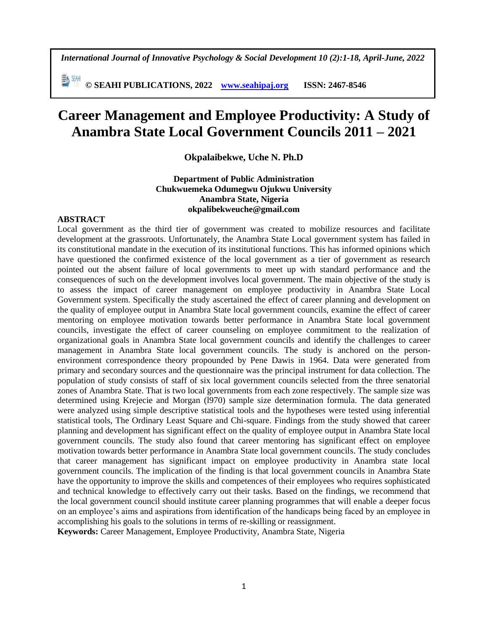*International Journal of Innovative Psychology & Social Development 10 (2):1-18, April-June, 2022*

**© SEAHI PUBLICATIONS, 2022 [www.seahipaj.org](http://www.seahipaj.org/) ISSN: 2467-8546**

# **Career Management and Employee Productivity: A Study of Anambra State Local Government Councils 2011 – 2021**

**Okpalaibekwe, Uche N. Ph.D**

### **Department of Public Administration Chukwuemeka Odumegwu Ojukwu University Anambra State, Nigeria okpalibekweuche@gmail.com**

### **ABSTRACT**

Local government as the third tier of government was created to mobilize resources and facilitate development at the grassroots. Unfortunately, the Anambra State Local government system has failed in its constitutional mandate in the execution of its institutional functions. This has informed opinions which have questioned the confirmed existence of the local government as a tier of government as research pointed out the absent failure of local governments to meet up with standard performance and the consequences of such on the development involves local government. The main objective of the study is to assess the impact of career management on employee productivity in Anambra State Local Government system. Specifically the study ascertained the effect of career planning and development on the quality of employee output in Anambra State local government councils, examine the effect of career mentoring on employee motivation towards better performance in Anambra State local government councils, investigate the effect of career counseling on employee commitment to the realization of organizational goals in Anambra State local government councils and identify the challenges to career management in Anambra State local government councils. The study is anchored on the personenvironment correspondence theory propounded by Pene Dawis in 1964. Data were generated from primary and secondary sources and the questionnaire was the principal instrument for data collection. The population of study consists of staff of six local government councils selected from the three senatorial zones of Anambra State. That is two local governments from each zone respectively. The sample size was determined using Krejecie and Morgan (l970) sample size determination formula. The data generated were analyzed using simple descriptive statistical tools and the hypotheses were tested using inferential statistical tools, The Ordinary Least Square and Chi-square. Findings from the study showed that career planning and development has significant effect on the quality of employee output in Anambra State local government councils. The study also found that career mentoring has significant effect on employee motivation towards better performance in Anambra State local government councils. The study concludes that career management has significant impact on employee productivity in Anambra state local government councils. The implication of the finding is that local government councils in Anambra State have the opportunity to improve the skills and competences of their employees who requires sophisticated and technical knowledge to effectively carry out their tasks. Based on the findings, we recommend that the local government council should institute career planning programmes that will enable a deeper focus on an employee's aims and aspirations from identification of the handicaps being faced by an employee in accomplishing his goals to the solutions in terms of re-skilling or reassignment.

**Keywords:** Career Management, Employee Productivity, Anambra State, Nigeria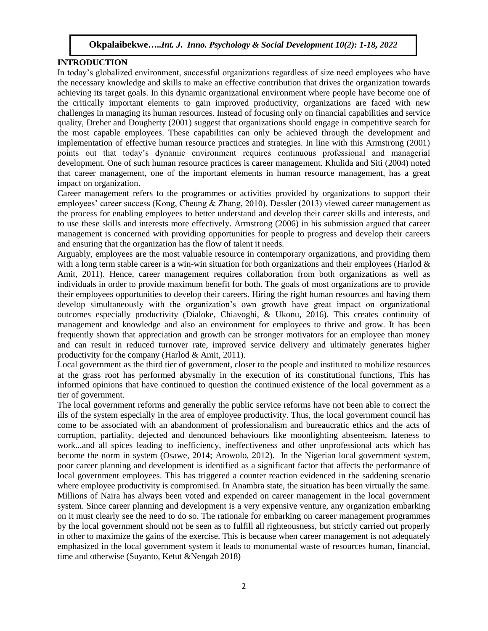### **INTRODUCTION**

In today's globalized environment, successful organizations regardless of size need employees who have the necessary knowledge and skills to make an effective contribution that drives the organization towards achieving its target goals. In this dynamic organizational environment where people have become one of the critically important elements to gain improved productivity, organizations are faced with new challenges in managing its human resources. Instead of focusing only on financial capabilities and service quality, Dreher and Dougherty (2001) suggest that organizations should engage in competitive search for the most capable employees. These capabilities can only be achieved through the development and implementation of effective human resource practices and strategies. In line with this Armstrong (2001) points out that today's dynamic environment requires continuous professional and managerial development. One of such human resource practices is career management. Khulida and Siti (2004) noted that career management, one of the important elements in human resource management, has a great impact on organization.

Career management refers to the programmes or activities provided by organizations to support their employees' career success (Kong, Cheung & Zhang, 2010). Dessler (2013) viewed career management as the process for enabling employees to better understand and develop their career skills and interests, and to use these skills and interests more effectively. Armstrong (2006) in his submission argued that career management is concerned with providing opportunities for people to progress and develop their careers and ensuring that the organization has the flow of talent it needs.

Arguably, employees are the most valuable resource in contemporary organizations, and providing them with a long term stable career is a win-win situation for both organizations and their employees (Harlod  $\&$ Amit, 2011). Hence, career management requires collaboration from both organizations as well as individuals in order to provide maximum benefit for both. The goals of most organizations are to provide their employees opportunities to develop their careers. Hiring the right human resources and having them develop simultaneously with the organization's own growth have great impact on organizational outcomes especially productivity (Dialoke, Chiavoghi, & Ukonu, 2016). This creates continuity of management and knowledge and also an environment for employees to thrive and grow. It has been frequently shown that appreciation and growth can be stronger motivators for an employee than money and can result in reduced turnover rate, improved service delivery and ultimately generates higher productivity for the company (Harlod & Amit, 2011).

Local government as the third tier of government, closer to the people and instituted to mobilize resources at the grass root has performed abysmally in the execution of its constitutional functions, This has informed opinions that have continued to question the continued existence of the local government as a tier of government.

The local government reforms and generally the public service reforms have not been able to correct the ills of the system especially in the area of employee productivity. Thus, the local government council has come to be associated with an abandonment of professionalism and bureaucratic ethics and the acts of corruption, partiality, dejected and denounced behaviours like moonlighting absenteeism, lateness to work...and all spices leading to inefficiency, ineffectiveness and other unprofessional acts which has become the norm in system (Osawe, 2014; Arowolo, 2012). In the Nigerian local government system, poor career planning and development is identified as a significant factor that affects the performance of local government employees. This has triggered a counter reaction evidenced in the saddening scenario where employee productivity is compromised. In Anambra state, the situation has been virtually the same. Millions of Naira has always been voted and expended on career management in the local government system. Since career planning and development is a very expensive venture, any organization embarking on it must clearly see the need to do so. The rationale for embarking on career management programmes by the local government should not be seen as to fulfill all righteousness, but strictly carried out properly in other to maximize the gains of the exercise. This is because when career management is not adequately emphasized in the local government system it leads to monumental waste of resources human, financial, time and otherwise (Suyanto, Ketut &Nengah 2018)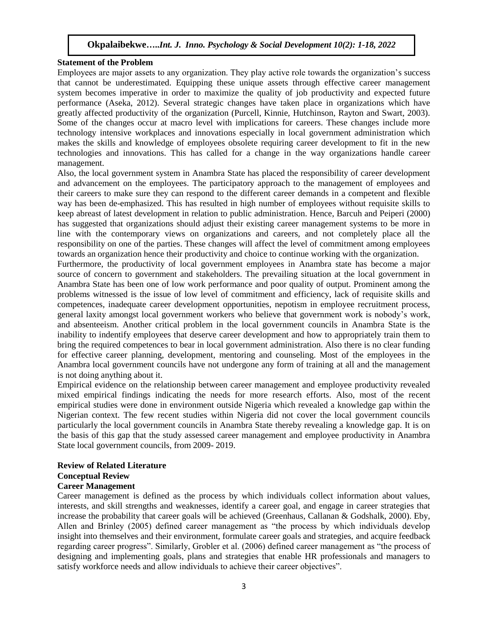### **Statement of the Problem**

Employees are major assets to any organization. They play active role towards the organization's success that cannot be underestimated. Equipping these unique assets through effective career management system becomes imperative in order to maximize the quality of job productivity and expected future performance (Aseka, 2012). Several strategic changes have taken place in organizations which have greatly affected productivity of the organization (Purcell, Kinnie, Hutchinson, Rayton and Swart, 2003). Some of the changes occur at macro level with implications for careers. These changes include more technology intensive workplaces and innovations especially in local government administration which makes the skills and knowledge of employees obsolete requiring career development to fit in the new technologies and innovations. This has called for a change in the way organizations handle career management.

Also, the local government system in Anambra State has placed the responsibility of career development and advancement on the employees. The participatory approach to the management of employees and their careers to make sure they can respond to the different career demands in a competent and flexible way has been de-emphasized. This has resulted in high number of employees without requisite skills to keep abreast of latest development in relation to public administration. Hence, Barcuh and Peiperi (2000) has suggested that organizations should adjust their existing career management systems to be more in line with the contemporary views on organizations and careers, and not completely place all the responsibility on one of the parties. These changes will affect the level of commitment among employees towards an organization hence their productivity and choice to continue working with the organization.

Furthermore, the productivity of local government employees in Anambra state has become a major source of concern to government and stakeholders. The prevailing situation at the local government in Anambra State has been one of low work performance and poor quality of output. Prominent among the problems witnessed is the issue of low level of commitment and efficiency, lack of requisite skills and competences, inadequate career development opportunities, nepotism in employee recruitment process, general laxity amongst local government workers who believe that government work is nobody's work, and absenteeism. Another critical problem in the local government councils in Anambra State is the inability to indentify employees that deserve career development and how to appropriately train them to bring the required competences to bear in local government administration. Also there is no clear funding for effective career planning, development, mentoring and counseling. Most of the employees in the Anambra local government councils have not undergone any form of training at all and the management is not doing anything about it.

Empirical evidence on the relationship between career management and employee productivity revealed mixed empirical findings indicating the needs for more research efforts. Also, most of the recent empirical studies were done in environment outside Nigeria which revealed a knowledge gap within the Nigerian context. The few recent studies within Nigeria did not cover the local government councils particularly the local government councils in Anambra State thereby revealing a knowledge gap. It is on the basis of this gap that the study assessed career management and employee productivity in Anambra State local government councils, from 2009- 2019.

# **Review of Related Literature Conceptual Review**

# **Career Management**

Career management is defined as the process by which individuals collect information about values, interests, and skill strengths and weaknesses, identify a career goal, and engage in career strategies that increase the probability that career goals will be achieved (Greenhaus, Callanan & Godshalk, 2000). Eby, Allen and Brinley (2005) defined career management as "the process by which individuals develop insight into themselves and their environment, formulate career goals and strategies, and acquire feedback regarding career progress". Similarly, Grobler et al. (2006) defined career management as "the process of designing and implementing goals, plans and strategies that enable HR professionals and managers to satisfy workforce needs and allow individuals to achieve their career objectives".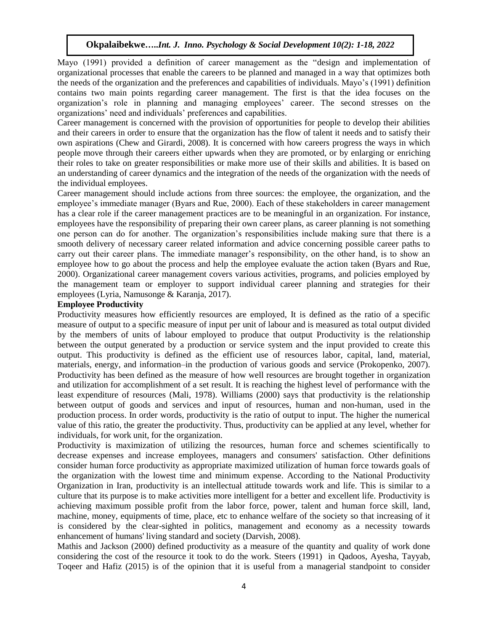Mayo (1991) provided a definition of career management as the "design and implementation of organizational processes that enable the careers to be planned and managed in a way that optimizes both the needs of the organization and the preferences and capabilities of individuals. Mayo's (1991) definition contains two main points regarding career management. The first is that the idea focuses on the organization's role in planning and managing employees' career. The second stresses on the organizations' need and individuals' preferences and capabilities.

Career management is concerned with the provision of opportunities for people to develop their abilities and their careers in order to ensure that the organization has the flow of talent it needs and to satisfy their own aspirations (Chew and Girardi, 2008). It is concerned with how careers progress the ways in which people move through their careers either upwards when they are promoted, or by enlarging or enriching their roles to take on greater responsibilities or make more use of their skills and abilities. It is based on an understanding of career dynamics and the integration of the needs of the organization with the needs of the individual employees.

Career management should include actions from three sources: the employee, the organization, and the employee's immediate manager (Byars and Rue, 2000). Each of these stakeholders in career management has a clear role if the career management practices are to be meaningful in an organization. For instance, employees have the responsibility of preparing their own career plans, as career planning is not something one person can do for another. The organization's responsibilities include making sure that there is a smooth delivery of necessary career related information and advice concerning possible career paths to carry out their career plans. The immediate manager's responsibility, on the other hand, is to show an employee how to go about the process and help the employee evaluate the action taken (Byars and Rue, 2000). Organizational career management covers various activities, programs, and policies employed by the management team or employer to support individual career planning and strategies for their employees (Lyria, Namusonge & Karanja, 2017).

### **Employee Productivity**

Productivity measures how efficiently resources are employed, It is defined as the ratio of a specific measure of output to a specific measure of input per unit of labour and is measured as total output divided by the members of units of labour employed to produce that output Productivity is the relationship between the output generated by a production or service system and the input provided to create this output. This productivity is defined as the efficient use of resources labor, capital, land, material, materials, energy, and information–in the production of various goods and service (Prokopenko, 2007). Productivity has been defined as the measure of how well resources are brought together in organization and utilization for accomplishment of a set result. It is reaching the highest level of performance with the least expenditure of resources (Mali, 1978). Williams (2000) says that productivity is the relationship between output of goods and services and input of resources, human and non-human, used in the production process. In order words, productivity is the ratio of output to input. The higher the numerical value of this ratio, the greater the productivity. Thus, productivity can be applied at any level, whether for individuals, for work unit, for the organization.

Productivity is maximization of utilizing the resources, human force and schemes scientifically to decrease expenses and increase employees, managers and consumers' satisfaction. Other definitions consider human force productivity as appropriate maximized utilization of human force towards goals of the organization with the lowest time and minimum expense. According to the National Productivity Organization in Iran, productivity is an intellectual attitude towards work and life. This is similar to a culture that its purpose is to make activities more intelligent for a better and excellent life. Productivity is achieving maximum possible profit from the labor force, power, talent and human force skill, land, machine, money, equipments of time, place, etc to enhance welfare of the society so that increasing of it is considered by the clear-sighted in politics, management and economy as a necessity towards enhancement of humans' living standard and society (Darvish, 2008).

Mathis and Jackson (2000) defined productivity as a measure of the quantity and quality of work done considering the cost of the resource it took to do the work. Steers (1991) in Qadoos, Ayesha, Tayyab, Toqeer and Hafiz (2015) is of the opinion that it is useful from a managerial standpoint to consider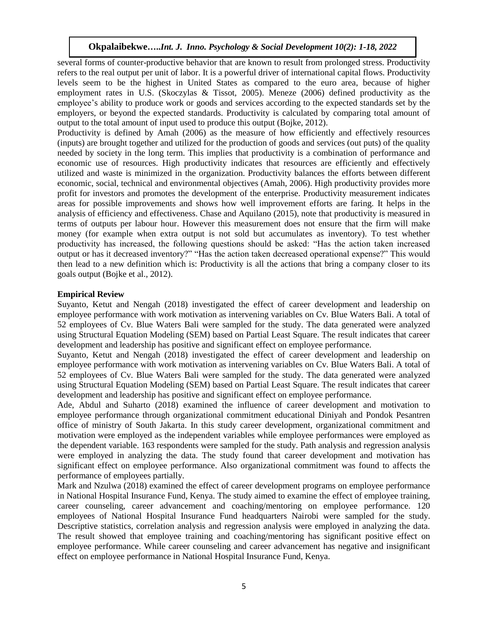several forms of counter-productive behavior that are known to result from prolonged stress. Productivity refers to the real output per unit of labor. It is a powerful driver of international capital flows. Productivity levels seem to be the highest in United States as compared to the euro area, because of higher employment rates in U.S. (Skoczylas & Tissot, 2005). Meneze (2006) defined productivity as the employee's ability to produce work or goods and services according to the expected standards set by the employers, or beyond the expected standards. Productivity is calculated by comparing total amount of output to the total amount of input used to produce this output (Bojke, 2012).

Productivity is defined by Amah (2006) as the measure of how efficiently and effectively resources (inputs) are brought together and utilized for the production of goods and services (out puts) of the quality needed by society in the long term. This implies that productivity is a combination of performance and economic use of resources. High productivity indicates that resources are efficiently and effectively utilized and waste is minimized in the organization. Productivity balances the efforts between different economic, social, technical and environmental objectives (Amah, 2006). High productivity provides more profit for investors and promotes the development of the enterprise. Productivity measurement indicates areas for possible improvements and shows how well improvement efforts are faring. It helps in the analysis of efficiency and effectiveness. Chase and Aquilano (2015), note that productivity is measured in terms of outputs per labour hour. However this measurement does not ensure that the firm will make money (for example when extra output is not sold but accumulates as inventory). To test whether productivity has increased, the following questions should be asked: "Has the action taken increased output or has it decreased inventory?" "Has the action taken decreased operational expense?" This would then lead to a new definition which is: Productivity is all the actions that bring a company closer to its goals output (Bojke et al., 2012).

### **Empirical Review**

Suyanto, Ketut and Nengah (2018) investigated the effect of career development and leadership on employee performance with work motivation as intervening variables on Cv. Blue Waters Bali. A total of 52 employees of Cv. Blue Waters Bali were sampled for the study. The data generated were analyzed using Structural Equation Modeling (SEM) based on Partial Least Square. The result indicates that career development and leadership has positive and significant effect on employee performance.

Suyanto, Ketut and Nengah (2018) investigated the effect of career development and leadership on employee performance with work motivation as intervening variables on Cv. Blue Waters Bali. A total of 52 employees of Cv. Blue Waters Bali were sampled for the study. The data generated were analyzed using Structural Equation Modeling (SEM) based on Partial Least Square. The result indicates that career development and leadership has positive and significant effect on employee performance.

Ade, Abdul and Suharto (2018) examined the influence of career development and motivation to employee performance through organizational commitment educational Diniyah and Pondok Pesantren office of ministry of South Jakarta. In this study career development, organizational commitment and motivation were employed as the independent variables while employee performances were employed as the dependent variable. 163 respondents were sampled for the study. Path analysis and regression analysis were employed in analyzing the data. The study found that career development and motivation has significant effect on employee performance. Also organizational commitment was found to affects the performance of employees partially.

Mark and Nzulwa (2018) examined the effect of career development programs on employee performance in National Hospital Insurance Fund, Kenya. The study aimed to examine the effect of employee training, career counseling, career advancement and coaching/mentoring on employee performance. 120 employees of National Hospital Insurance Fund headquarters Nairobi were sampled for the study. Descriptive statistics, correlation analysis and regression analysis were employed in analyzing the data. The result showed that employee training and coaching/mentoring has significant positive effect on employee performance. While career counseling and career advancement has negative and insignificant effect on employee performance in National Hospital Insurance Fund, Kenya.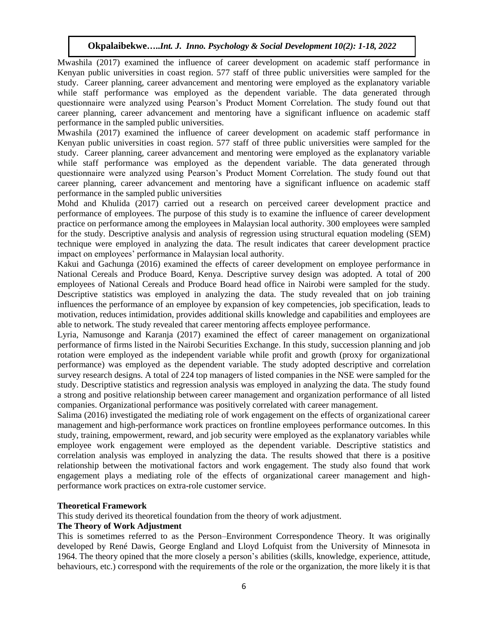Mwashila (2017) examined the influence of career development on academic staff performance in Kenyan public universities in coast region. 577 staff of three public universities were sampled for the study. Career planning, career advancement and mentoring were employed as the explanatory variable while staff performance was employed as the dependent variable. The data generated through questionnaire were analyzed using Pearson's Product Moment Correlation. The study found out that career planning, career advancement and mentoring have a significant influence on academic staff performance in the sampled public universities.

Mwashila (2017) examined the influence of career development on academic staff performance in Kenyan public universities in coast region. 577 staff of three public universities were sampled for the study. Career planning, career advancement and mentoring were employed as the explanatory variable while staff performance was employed as the dependent variable. The data generated through questionnaire were analyzed using Pearson's Product Moment Correlation. The study found out that career planning, career advancement and mentoring have a significant influence on academic staff performance in the sampled public universities

Mohd and Khulida (2017) carried out a research on perceived career development practice and performance of employees. The purpose of this study is to examine the influence of career development practice on performance among the employees in Malaysian local authority. 300 employees were sampled for the study. Descriptive analysis and analysis of regression using structural equation modeling (SEM) technique were employed in analyzing the data. The result indicates that career development practice impact on employees' performance in Malaysian local authority.

Kakui and Gachunga (2016) examined the effects of career development on employee performance in National Cereals and Produce Board, Kenya. Descriptive survey design was adopted. A total of 200 employees of National Cereals and Produce Board head office in Nairobi were sampled for the study. Descriptive statistics was employed in analyzing the data. The study revealed that on job training influences the performance of an employee by expansion of key competencies, job specification, leads to motivation, reduces intimidation, provides additional skills knowledge and capabilities and employees are able to network. The study revealed that career mentoring affects employee performance.

Lyria, Namusonge and Karanja (2017) examined the effect of career management on organizational performance of firms listed in the Nairobi Securities Exchange. In this study, succession planning and job rotation were employed as the independent variable while profit and growth (proxy for organizational performance) was employed as the dependent variable. The study adopted descriptive and correlation survey research designs. A total of 224 top managers of listed companies in the NSE were sampled for the study. Descriptive statistics and regression analysis was employed in analyzing the data. The study found a strong and positive relationship between career management and organization performance of all listed companies. Organizational performance was positively correlated with career management.

Salima (2016) investigated the mediating role of work engagement on the effects of organizational career management and high-performance work practices on frontline employees performance outcomes. In this study, training, empowerment, reward, and job security were employed as the explanatory variables while employee work engagement were employed as the dependent variable. Descriptive statistics and correlation analysis was employed in analyzing the data. The results showed that there is a positive relationship between the motivational factors and work engagement. The study also found that work engagement plays a mediating role of the effects of organizational career management and highperformance work practices on extra-role customer service.

### **Theoretical Framework**

This study derived its theoretical foundation from the theory of work adjustment.

### **The Theory of Work Adjustment**

This is sometimes referred to as the Person–Environment Correspondence Theory. It was originally developed by René Dawis, George England and Lloyd Lofquist from the University of Minnesota in 1964. The theory opined that the more closely a person's abilities (skills, knowledge, experience, attitude, behaviours, etc.) correspond with the requirements of the role or the organization, the more likely it is that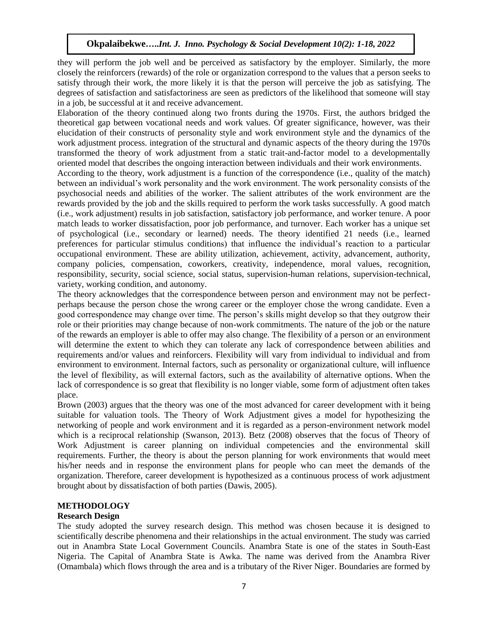they will perform the job well and be perceived as satisfactory by the employer. Similarly, the more closely the reinforcers (rewards) of the role or organization correspond to the values that a person seeks to satisfy through their work, the more likely it is that the person will perceive the job as satisfying. The degrees of satisfaction and satisfactoriness are seen as predictors of the likelihood that someone will stay in a job, be successful at it and receive advancement.

Elaboration of the theory continued along two fronts during the 1970s. First, the authors bridged the theoretical gap between vocational needs and work values. Of greater significance, however, was their elucidation of their constructs of personality style and work environment style and the dynamics of the work adjustment process. integration of the structural and dynamic aspects of the theory during the 1970s transformed the theory of work adjustment from a static trait-and-factor model to a developmentally oriented model that describes the ongoing interaction between individuals and their work environments.

According to the theory, work adjustment is a function of the correspondence (i.e., quality of the match) between an individual's work personality and the work environment. The work personality consists of the psychosocial needs and abilities of the worker. The salient attributes of the work environment are the rewards provided by the job and the skills required to perform the work tasks successfully. A good match (i.e., work adjustment) results in job satisfaction, satisfactory job performance, and worker tenure. A poor match leads to worker dissatisfaction, poor job performance, and turnover. Each worker has a unique set of psychological (i.e., secondary or learned) needs. The theory identified 21 needs (i.e., learned preferences for particular stimulus conditions) that influence the individual's reaction to a particular occupational environment. These are ability utilization, achievement, activity, advancement, authority, company policies, compensation, coworkers, creativity, independence, moral values, recognition, responsibility, security, social science, social status, supervision-human relations, supervision-technical, variety, working condition, and autonomy.

The theory acknowledges that the correspondence between person and environment may not be perfectperhaps because the person chose the wrong career or the employer chose the wrong candidate. Even a good correspondence may change over time. The person's skills might develop so that they outgrow their role or their priorities may change because of non-work commitments. The nature of the job or the nature of the rewards an employer is able to offer may also change. The flexibility of a person or an environment will determine the extent to which they can tolerate any lack of correspondence between abilities and requirements and/or values and reinforcers. Flexibility will vary from individual to individual and from environment to environment. Internal factors, such as personality or organizational culture, will influence the level of flexibility, as will external factors, such as the availability of alternative options. When the lack of correspondence is so great that flexibility is no longer viable, some form of adjustment often takes place.

Brown (2003) argues that the theory was one of the most advanced for career development with it being suitable for valuation tools. The Theory of Work Adjustment gives a model for hypothesizing the networking of people and work environment and it is regarded as a person-environment network model which is a reciprocal relationship (Swanson, 2013). Betz (2008) observes that the focus of Theory of Work Adjustment is career planning on individual competencies and the environmental skill requirements. Further, the theory is about the person planning for work environments that would meet his/her needs and in response the environment plans for people who can meet the demands of the organization. Therefore, career development is hypothesized as a continuous process of work adjustment brought about by dissatisfaction of both parties (Dawis, 2005).

### **METHODOLOGY**

### **Research Design**

The study adopted the survey research design. This method was chosen because it is designed to scientifically describe phenomena and their relationships in the actual environment. The study was carried out in Anambra State Local Government Councils. Anambra State is one of the states in South-East Nigeria. The Capital of Anambra State is Awka. The name was derived from the Anambra River (Omambala) which flows through the area and is a tributary of the River Niger. Boundaries are formed by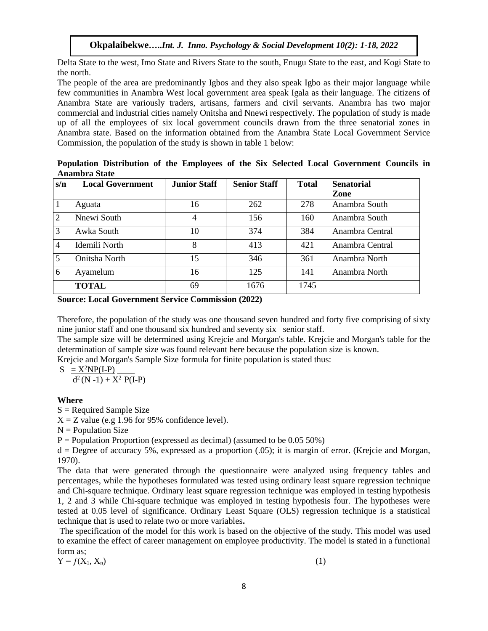Delta State to the west, Imo State and Rivers State to the south, Enugu State to the east, and Kogi State to the north.

The people of the area are predominantly Igbos and they also speak Igbo as their major language while few communities in Anambra West local government area speak Igala as their language. The citizens of Anambra State are variously traders, artisans, farmers and civil servants. Anambra has two major commercial and industrial cities namely Onitsha and Nnewi respectively. The population of study is made up of all the employees of six local government councils drawn from the three senatorial zones in Anambra state. Based on the information obtained from the Anambra State Local Government Service Commission, the population of the study is shown in table 1 below:

|                | Anambra State           |                     |                     |              |                   |  |  |  |  |  |  |
|----------------|-------------------------|---------------------|---------------------|--------------|-------------------|--|--|--|--|--|--|
| s/n            | <b>Local Government</b> | <b>Junior Staff</b> | <b>Senior Staff</b> | <b>Total</b> | <b>Senatorial</b> |  |  |  |  |  |  |
|                |                         |                     |                     |              | Zone              |  |  |  |  |  |  |
|                | Aguata                  | 16                  | 262                 | 278          | Anambra South     |  |  |  |  |  |  |
| 2              | Nnewi South             |                     | 156                 | 160          | Anambra South     |  |  |  |  |  |  |
| 3              | Awka South              | 10                  | 374                 | 384          | Anambra Central   |  |  |  |  |  |  |
| $\overline{4}$ | Idemili North           |                     | 413                 | 421          | Anambra Central   |  |  |  |  |  |  |

5 Onitsha North 15 346 361 Anambra North 6 Ayamelum 16 125 141 Anambra North

**Population Distribution of the Employees of the Six Selected Local Government Councils in Anambra State** 

|  | <b>Source: Local Government Service Commission (2022)</b> |  |  |  |  |
|--|-----------------------------------------------------------|--|--|--|--|
|--|-----------------------------------------------------------|--|--|--|--|

Therefore, the population of the study was one thousand seven hundred and forty five comprising of sixty nine junior staff and one thousand six hundred and seventy six senior staff.

The sample size will be determined using Krejcie and Morgan's table. Krejcie and Morgan's table for the determination of sample size was found relevant here because the population size is known.

Krejcie and Morgan's Sample Size formula for finite population is stated thus:

**TOTAL** 69 1676 1745

$$
S = \frac{X^2NP(I-P)}{2}
$$

 $d^2(N-1) + X^2P(I-P)$ 

### **Where**

 $S =$  Required Sample Size

 $X = Z$  value (e.g 1.96 for 95% confidence level).

 $N =$  Population Size

 $P =$  Population Proportion (expressed as decimal) (assumed to be 0.05 50%)

 $d =$  Degree of accuracy 5%, expressed as a proportion  $(0.05)$ ; it is margin of error. (Krejcie and Morgan, 1970).

The data that were generated through the questionnaire were analyzed using frequency tables and percentages, while the hypotheses formulated was tested using ordinary least square regression technique and Chi-square technique. Ordinary least square regression technique was employed in testing hypothesis 1, 2 and 3 while Chi-square technique was employed in testing hypothesis four. The hypotheses were tested at 0.05 level of significance. Ordinary Least Square (OLS) regression technique is a statistical technique that is used to relate two or more variables**.**

The specification of the model for this work is based on the objective of the study. This model was used to examine the effect of career management on employee productivity. The model is stated in a functional form as;

 $Y = f(X_1, X_n)$  (1)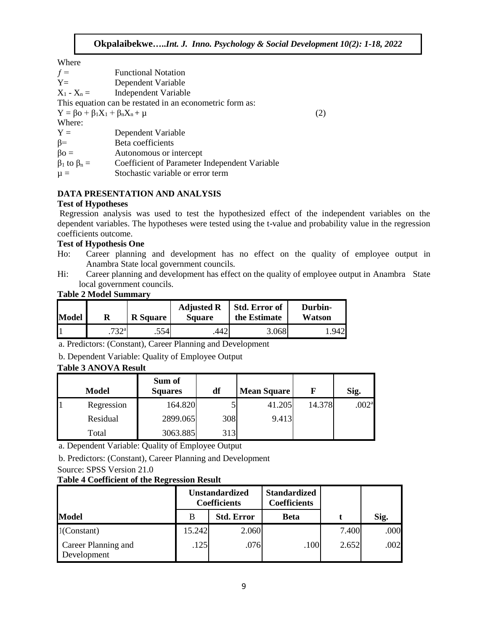Where

| ,,,,,,,                                         |                                                          |     |
|-------------------------------------------------|----------------------------------------------------------|-----|
| $f =$                                           | <b>Functional Notation</b>                               |     |
| $Y=$                                            | Dependent Variable                                       |     |
| $X_1 - X_n =$                                   | Independent Variable                                     |     |
|                                                 | This equation can be restated in an econometric form as: |     |
| $Y = \beta o + \beta_1 X_1 + \beta_n X_n + \mu$ |                                                          | (2) |
| Where:                                          |                                                          |     |
| $Y =$                                           | Dependent Variable                                       |     |
| $\beta =$                                       | Beta coefficients                                        |     |
| $\beta$ o =                                     | Autonomous or intercept                                  |     |
| $\beta_1$ to $\beta_n =$                        | Coefficient of Parameter Independent Variable            |     |
| $\mu =$                                         | Stochastic variable or error term                        |     |

# **DATA PRESENTATION AND ANALYSIS**

### **Test of Hypotheses**

Regression analysis was used to test the hypothesized effect of the independent variables on the dependent variables. The hypotheses were tested using the t-value and probability value in the regression coefficients outcome.

### **Test of Hypothesis One**

- Ho: Career planning and development has no effect on the quality of employee output in Anambra State local government councils.
- Hi: Career planning and development has effect on the quality of employee output in Anambra State local government councils.

| <b>Model</b> |                  | <b>R</b> Square | <b>Adjusted R</b><br><b>Square</b> | <b>Std. Error of</b><br>the Estimate | Durbin-<br>Watson |
|--------------|------------------|-----------------|------------------------------------|--------------------------------------|-------------------|
|              | 732 <sup>a</sup> | .5541           | 442                                | 3.068                                | .942              |

### **Table 2 Model Summary**

a. Predictors: (Constant), Career Planning and Development

# b. Dependent Variable: Quality of Employee Output

# **Table 3 ANOVA Result**

| <b>Model</b> | Sum of<br><b>Squares</b> | df  | <b>Mean Square</b> | F      | Sig.              |
|--------------|--------------------------|-----|--------------------|--------|-------------------|
| Regression   | 164.820                  |     | 41.205             | 14.378 | .002 <sup>a</sup> |
| Residual     | 2899.065                 | 308 | 9.413              |        |                   |
| Total        | 3063.885                 | 313 |                    |        |                   |

a. Dependent Variable: Quality of Employee Output

b. Predictors: (Constant), Career Planning and Development

### Source: SPSS Version 21.0

# **Table 4 Coefficient of the Regression Result**

|                                    | <b>Unstandardized</b><br><b>Coefficients</b> |                   | <b>Standardized</b><br><b>Coefficients</b> |       |      |
|------------------------------------|----------------------------------------------|-------------------|--------------------------------------------|-------|------|
| <b>Model</b>                       | B                                            | <b>Std. Error</b> | <b>Beta</b>                                |       | Sig. |
| $1$ (Constant)                     | 15.242                                       | 2.060             |                                            | 7.400 | .000 |
| Career Planning and<br>Development | .125                                         | .076              | .100                                       | 2.652 | .002 |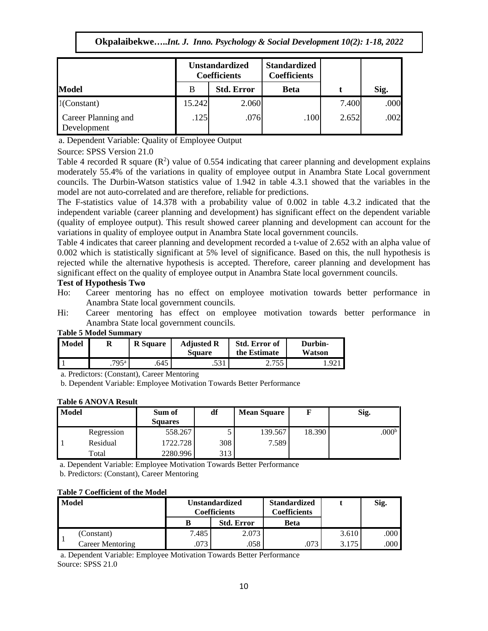|                                    | <b>Unstandardized</b><br><b>Coefficients</b> |                   | <b>Standardized</b><br><b>Coefficients</b> |       |      |
|------------------------------------|----------------------------------------------|-------------------|--------------------------------------------|-------|------|
| <b>Model</b>                       | B                                            | <b>Std. Error</b> | <b>Beta</b>                                |       | Sig. |
| $1$ (Constant)                     | 15.242                                       | 2.060             |                                            | 7.400 | .000 |
| Career Planning and<br>Development | .125                                         | .076              | .100                                       | 2.652 | .002 |

a. Dependent Variable: Quality of Employee Output

Source: SPSS Version 21.0

Table 4 recorded R square  $(R^2)$  value of 0.554 indicating that career planning and development explains moderately 55.4% of the variations in quality of employee output in Anambra State Local government councils. The Durbin-Watson statistics value of 1.942 in table 4.3.1 showed that the variables in the model are not auto-correlated and are therefore, reliable for predictions.

The F-statistics value of 14.378 with a probability value of 0.002 in table 4.3.2 indicated that the independent variable (career planning and development) has significant effect on the dependent variable (quality of employee output). This result showed career planning and development can account for the variations in quality of employee output in Anambra State local government councils.

Table 4 indicates that career planning and development recorded a t-value of 2.652 with an alpha value of 0.002 which is statistically significant at 5% level of significance. Based on this, the null hypothesis is rejected while the alternative hypothesis is accepted. Therefore, career planning and development has significant effect on the quality of employee output in Anambra State local government councils.

### **Test of Hypothesis Two**

- Ho: Career mentoring has no effect on employee motivation towards better performance in Anambra State local government councils.
- Hi: Career mentoring has effect on employee motivation towards better performance in Anambra State local government councils.

| Model | таріс з імбисі зинінат у | <b>R</b> Square | <b>Adjusted R</b><br><b>Square</b> | <b>Std. Error of</b><br>the Estimate | Durbin-<br>Watson |
|-------|--------------------------|-----------------|------------------------------------|--------------------------------------|-------------------|
|       | $.795$ <sup>a</sup>      | .645            | .531                               | 755<br>ر ر ب                         |                   |

# **Table 5 Model Summary**

a. Predictors: (Constant), Career Mentoring

b. Dependent Variable: Employee Motivation Towards Better Performance

#### **Table 6 ANOVA Result**

| <b>Model</b> |            | Sum of<br><b>Squares</b> | df  | <b>Mean Square</b> |        | Sig.      |
|--------------|------------|--------------------------|-----|--------------------|--------|-----------|
|              | Regression | 558.267                  |     | 139.567            | 18.390 | $.000b$ ! |
|              | Residual   | 1722.728                 | 308 | 7.589              |        |           |
|              | Total      | 2280.996                 | 313 |                    |        |           |

a. Dependent Variable: Employee Motivation Towards Better Performance

b. Predictors: (Constant), Career Mentoring

### **Table 7 Coefficient of the Model**

| <b>Model</b> |                  | <b>Unstandardized</b><br>Coefficients |                   | <b>Standardized</b><br>Coefficients |       | Sig. |
|--------------|------------------|---------------------------------------|-------------------|-------------------------------------|-------|------|
|              |                  |                                       | <b>Std. Error</b> | Beta                                |       |      |
|              | (Constant)       | 7.485                                 | 2.073             |                                     | 3.610 | .000 |
|              | Career Mentoring | .073                                  | .058              | .073                                | 3.175 | .000 |

a. Dependent Variable: Employee Motivation Towards Better Performance Source: SPSS 21.0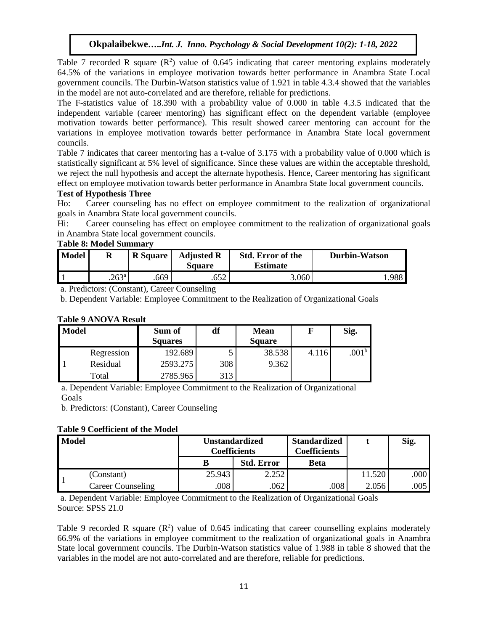Table 7 recorded R square  $(R^2)$  value of 0.645 indicating that career mentoring explains moderately 64.5% of the variations in employee motivation towards better performance in Anambra State Local government councils. The Durbin-Watson statistics value of 1.921 in table 4.3.4 showed that the variables in the model are not auto-correlated and are therefore, reliable for predictions.

The F-statistics value of 18.390 with a probability value of 0.000 in table 4.3.5 indicated that the independent variable (career mentoring) has significant effect on the dependent variable (employee motivation towards better performance). This result showed career mentoring can account for the variations in employee motivation towards better performance in Anambra State local government councils.

Table 7 indicates that career mentoring has a t-value of 3.175 with a probability value of 0.000 which is statistically significant at 5% level of significance. Since these values are within the acceptable threshold, we reject the null hypothesis and accept the alternate hypothesis. Hence, Career mentoring has significant effect on employee motivation towards better performance in Anambra State local government councils.

# **Test of Hypothesis Three**

Ho: Career counseling has no effect on employee commitment to the realization of organizational goals in Anambra State local government councils.

Hi: Career counseling has effect on employee commitment to the realization of organizational goals in Anambra State local government councils.

### **Table 8: Model Summary**

| <b>Model</b> | R                 | R Square | <b>Adjusted R</b><br>Square | <b>Std. Error of the</b><br><b>Estimate</b> | Durbin-Watson |
|--------------|-------------------|----------|-----------------------------|---------------------------------------------|---------------|
|              | .263 <sup>a</sup> | .669     |                             | 3.060                                       | 988           |

a. Predictors: (Constant), Career Counseling

b. Dependent Variable: Employee Commitment to the Realization of Organizational Goals

### **Table 9 ANOVA Result**

| Model |            | Sum of<br><b>Squares</b> | df  | <b>Mean</b><br><b>Square</b> |       | Sig. |
|-------|------------|--------------------------|-----|------------------------------|-------|------|
|       | Regression | 192.689                  |     | 38.538                       | 4.116 | .001 |
|       | Residual   | 2593.275                 | 308 | 9.362                        |       |      |
|       | Total      | 2785.965                 | 313 |                              |       |      |

a. Dependent Variable: Employee Commitment to the Realization of Organizational Goals

b. Predictors: (Constant), Career Counseling

### **Table 9 Coefficient of the Model**

| <b>Model</b> |                   | Unstandardized<br>Coefficients |                   | <b>Standardized</b><br>Coefficients |        | Sig. |
|--------------|-------------------|--------------------------------|-------------------|-------------------------------------|--------|------|
|              |                   |                                | <b>Std. Error</b> | Beta                                |        |      |
|              | (Constant)        | 25.943                         | 2.252             |                                     | 11.520 | .000 |
|              | Career Counseling | .008                           | .062              | .008                                | 2.056  | .005 |

a. Dependent Variable: Employee Commitment to the Realization of Organizational Goals Source: SPSS 21.0

Table 9 recorded R square  $(R^2)$  value of 0.645 indicating that career counselling explains moderately 66.9% of the variations in employee commitment to the realization of organizational goals in Anambra State local government councils. The Durbin-Watson statistics value of 1.988 in table 8 showed that the variables in the model are not auto-correlated and are therefore, reliable for predictions.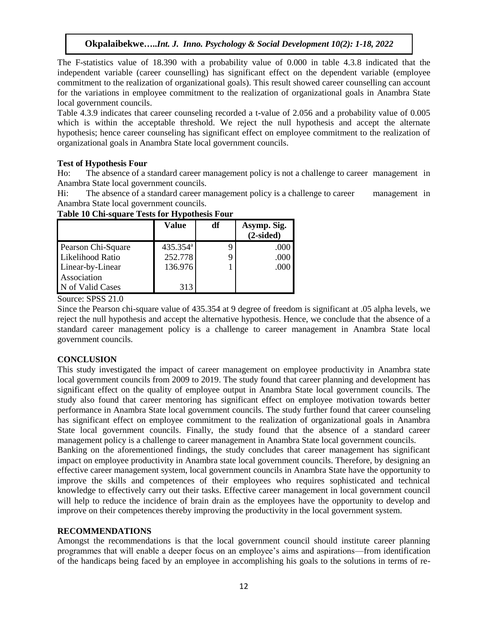The F-statistics value of 18.390 with a probability value of 0.000 in table 4.3.8 indicated that the independent variable (career counselling) has significant effect on the dependent variable (employee commitment to the realization of organizational goals). This result showed career counselling can account for the variations in employee commitment to the realization of organizational goals in Anambra State local government councils.

Table 4.3.9 indicates that career counseling recorded a t-value of 2.056 and a probability value of 0.005 which is within the acceptable threshold. We reject the null hypothesis and accept the alternate hypothesis; hence career counseling has significant effect on employee commitment to the realization of organizational goals in Anambra State local government councils.

# **Test of Hypothesis Four**

Ho: The absence of a standard career management policy is not a challenge to career management in Anambra State local government councils.

Hi: The absence of a standard career management policy is a challenge to career management in Anambra State local government councils.

|                    | Value                | df | Asymp. Sig.<br>$(2-sided)$ |
|--------------------|----------------------|----|----------------------------|
| Pearson Chi-Square | 435.354 <sup>a</sup> | q  | .000                       |
| Likelihood Ratio   | 252.778              |    | .000                       |
| Linear-by-Linear   | 136.976              |    | .000                       |
| Association        |                      |    |                            |
| N of Valid Cases   | 313                  |    |                            |

# **Table 10 Chi-square Tests for Hypothesis Four**

Source: SPSS 21.0

Since the Pearson chi-square value of 435.354 at 9 degree of freedom is significant at .05 alpha levels, we reject the null hypothesis and accept the alternative hypothesis. Hence, we conclude that the absence of a standard career management policy is a challenge to career management in Anambra State local government councils.

# **CONCLUSION**

This study investigated the impact of career management on employee productivity in Anambra state local government councils from 2009 to 2019. The study found that career planning and development has significant effect on the quality of employee output in Anambra State local government councils. The study also found that career mentoring has significant effect on employee motivation towards better performance in Anambra State local government councils. The study further found that career counseling has significant effect on employee commitment to the realization of organizational goals in Anambra State local government councils. Finally, the study found that the absence of a standard career management policy is a challenge to career management in Anambra State local government councils.

Banking on the aforementioned findings, the study concludes that career management has significant impact on employee productivity in Anambra state local government councils. Therefore, by designing an effective career management system, local government councils in Anambra State have the opportunity to improve the skills and competences of their employees who requires sophisticated and technical knowledge to effectively carry out their tasks. Effective career management in local government council will help to reduce the incidence of brain drain as the employees have the opportunity to develop and improve on their competences thereby improving the productivity in the local government system.

### **RECOMMENDATIONS**

Amongst the recommendations is that the local government council should institute career planning programmes that will enable a deeper focus on an employee's aims and aspirations—from identification of the handicaps being faced by an employee in accomplishing his goals to the solutions in terms of re-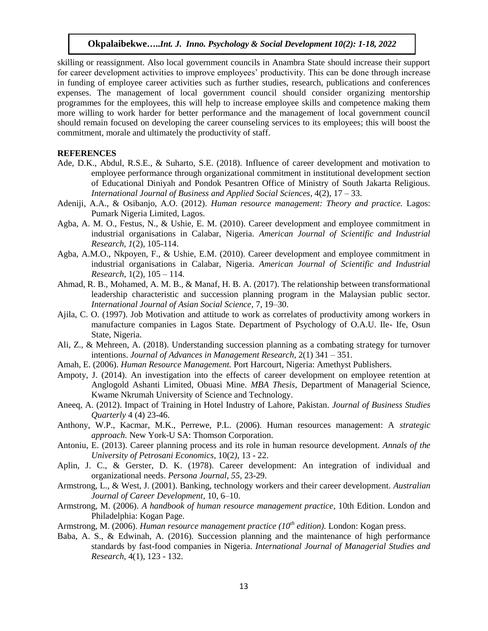skilling or reassignment. Also local government councils in Anambra State should increase their support for career development activities to improve employees' productivity. This can be done through increase in funding of employee career activities such as further studies, research, publications and conferences expenses. The management of local government council should consider organizing mentorship programmes for the employees, this will help to increase employee skills and competence making them more willing to work harder for better performance and the management of local government council should remain focused on developing the career counseling services to its employees; this will boost the commitment, morale and ultimately the productivity of staff.

#### **REFERENCES**

- Ade, D.K., Abdul, R.S.E., & Suharto, S.E. (2018). Influence of career development and motivation to employee performance through organizational commitment in institutional development section of Educational Diniyah and Pondok Pesantren Office of Ministry of South Jakarta Religious. *International Journal of Business and Applied Social Sciences*, 4(2), 17 – 33.
- Adeniji, A.A., & Osibanjo, A.O. (2012). *Human resource management: Theory and practice.* Lagos: Pumark Nigeria Limited, Lagos.
- Agba, A. M. O., Festus, N., & Ushie, E. M. (2010). Career development and employee commitment in industrial organisations in Calabar, Nigeria. *American Journal of Scientific and Industrial Research, 1*(2), 105-114.
- Agba, A.M.O., Nkpoyen, F., & Ushie, E.M. (2010). Career development and employee commitment in industrial organisations in Calabar, Nigeria. *American Journal of Scientific and Industrial Research*, 1(2), 105 – 114.
- Ahmad, R. B., Mohamed, A. M. B., & Manaf, H. B. A. (2017). The relationship between transformational leadership characteristic and succession planning program in the Malaysian public sector. *International Journal of Asian Social Science*, 7, 19–30.
- Ajila, C. O. (1997). Job Motivation and attitude to work as correlates of productivity among workers in manufacture companies in Lagos State. Department of Psychology of O.A.U. Ile- Ife, Osun State, Nigeria.
- Ali, Z., & Mehreen, A. (2018). Understanding succession planning as a combating strategy for turnover intentions. *Journal of Advances in Management Research*, 2(1) 341 – 351.
- Amah, E. (2006). *Human Resource Management.* Port Harcourt, Nigeria: Amethyst Publishers.
- Ampoty, J. (2014). An investigation into the effects of career development on employee retention at Anglogold Ashanti Limited, Obuasi Mine. *MBA Thesis*, Department of Managerial Science, Kwame Nkrumah University of Science and Technology.
- Aneeq, A. (2012). Impact of Training in Hotel Industry of Lahore, Pakistan. *Journal of Business Studies Quarterly* 4 (4) 23-46.
- Anthony, W.P., Kacmar, M.K., Perrewe, P.L. (2006). Human resources management: A *strategic approach.* New York-U SA: Thomson Corporation.
- Antoniu, E. (2013). Career planning process and its role in human resource development. *Annals of the University of Petrosani Economics,* 10(2*)*, 13 - 22.
- Aplin, J. C., & Gerster, D. K. (1978). Career development: An integration of individual and organizational needs. *Persona Journal, 55,* 23-29.
- Armstrong, L., & West, J. (2001). Banking, technology workers and their career development. *Australian Journal of Career Development*, 10, 6–10.
- Armstrong, M. (2006). *A handbook of human resource management practice*, 10th Edition. London and Philadelphia: Kogan Page.
- Armstrong, M. (2006). *Human resource management practice (10th edition).* London: Kogan press.
- Baba, A. S., & Edwinah, A. (2016). Succession planning and the maintenance of high performance standards by fast-food companies in Nigeria. *International Journal of Managerial Studies and Research,* 4(1), 123 - 132.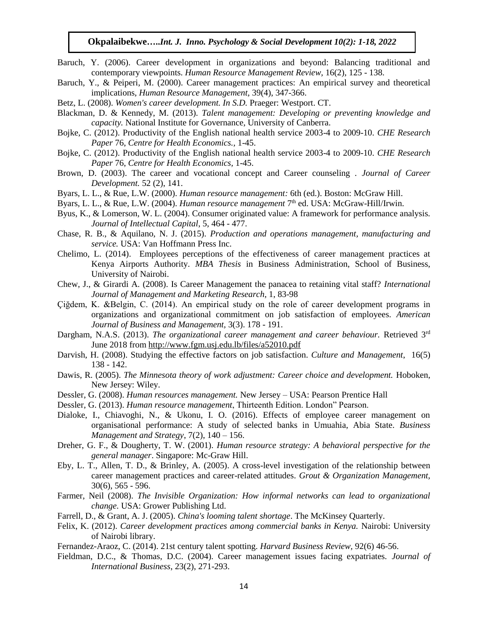- Baruch, Y. (2006). Career development in organizations and beyond: Balancing traditional and contemporary viewpoints. *Human Resource Management Review,* 16(2), 125 - 138.
- Baruch, Y., & Peiperi, M. (2000). Career management practices: An empirical survey and theoretical implications, *Human Resource Management*, 39(4), 347-366.
- Betz, L. (2008). *Women's career development. In S.D.* Praeger: Westport. CT.
- Blackman, D. & Kennedy, M. (2013). *Talent management: Developing or preventing knowledge and capacity.* National Institute for Governance, University of Canberra.
- Bojke, C. (2012). Productivity of the English national health service 2003-4 to 2009-10. *CHE Research Paper* 76, *Centre for Health Economics.,* 1-45.
- Bojke, C. (2012). Productivity of the English national health service 2003-4 to 2009-10. *CHE Research Paper* 76, *Centre for Health Economics,* 1-45.
- Brown, D. (2003). The career and vocational concept and Career counseling . *Journal of Career Development.* 52 (2), 141.
- Byars, L. L., & Rue, L.W. (2000). *Human resource management:* 6th (ed.). Boston: McGraw Hill.
- Byars, L. L., & Rue, L.W. (2004). *Human resource management* 7<sup>th</sup> ed. USA: McGraw-Hill/Irwin.
- Byus, K., & Lomerson, W. L. (2004). [Consumer originated value: A framework for performance analysis.](http://www.emeraldinsight.com/doi/abs/10.1108/14691930410550408)  *[Journal of Intellectual Capital](http://www.emeraldinsight.com/doi/abs/10.1108/14691930410550408)*, 5, 464 - 477.
- Chase, R. B., & Aquilano, N. J. (2015). *Production and operations management, manufacturing and service.* USA: Van Hoffmann Press Inc.
- Chelimo, L. (2014). Employees perceptions of the effectiveness of career management practices at Kenya Airports Authority. *MBA Thesis* in Business Administration, School of Business, University of Nairobi.
- Chew, J., & Girardi A. (2008). Is Career Management the panacea to retaining vital staff? *International Journal of Management and Marketing Research*, 1, 83-98
- Çiğdem, K. &Belgin, C. (2014). An empirical study on the role of career development programs in organizations and organizational commitment on job satisfaction of employees. *American Journal of Business and Management,* 3(3). 178 - 191.
- Dargham, N.A.S. (2013). *The organizational career management and career behaviour.* Retrieved 3<sup>rd</sup> June 2018 from<http://www.fgm.usj.edu.lb/files/a52010.pdf>
- Darvish, H. (2008). Studying the effective factors on job satisfaction. *Culture and Management*, 16(5) 138 - 142.
- Dawis, R. (2005). *The Minnesota theory of work adjustment: Career choice and development*. Hoboken, New Jersey: Wiley.
- Dessler, G. (2008). *Human resources management.* New Jersey USA: Pearson Prentice Hall
- Dessler, G. (2013). *Human resource management*, Thirteenth Edition. London" Pearson.
- Dialoke, I., Chiavoghi, N., & Ukonu, I. O. (2016). Effects of employee career management on organisational performance: A study of selected banks in Umuahia, Abia State. *Business Management and Strategy*, 7(2), 140 – 156.
- Dreher, G. F., & Dougherty, T. W. (2001). *Human resource strategy: A behavioral perspective for the general manager*. Singapore: Mc-Graw Hill.
- Eby, L. T., Allen, T. D., & Brinley, A. (2005). A cross-level investigation of the relationship between career management practices and career-related attitudes. *Grout & Organization Management,*  30(6), 565 - 596.
- Farmer, Neil (2008). *The Invisible Organization: How informal networks can lead to organizational change.* USA: Grower Publishing Ltd.
- Farrell, D., & Grant, A. J. (2005). *China's looming talent shortage*. The McKinsey Quarterly.
- Felix, K. (2012). *Career development practices among commercial banks in Kenya.* Nairobi: University of Nairobi library.
- Fernandez-Araoz, C. (2014). 21st century talent spotting. *Harvard Business Review,* 92(6) 46-56.
- Fieldman, D.C., & Thomas, D.C. (2004). Career management issues facing expatriates. *Journal of International Business*, 23(2), 271-293.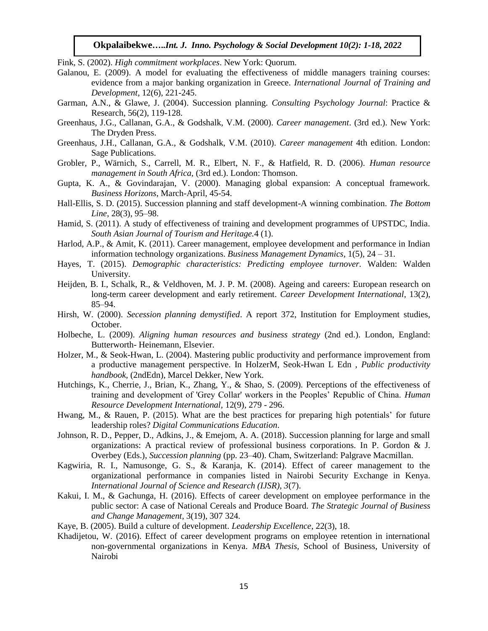Fink, S. (2002). *High commitment workplaces*. New York: Quorum.

- Galanou, E. (2009). A model for evaluating the effectiveness of middle managers training courses: evidence from a major banking organization in Greece. *International Journal of Training and Development*, 12(6), 221-245.
- Garman, A.N., & Glawe, J. (2004). Succession planning. *Consulting Psychology Journal*: Practice & Research, 56(2), 119-128.
- Greenhaus, J.G., Callanan, G.A., & Godshalk, V.M. (2000). *Career management*. (3rd ed.). New York: The Dryden Press.
- Greenhaus, J.H., Callanan, G.A., & Godshalk, V.M. (2010). *Career management* 4th edition. London: Sage Publications.
- Grobler, P., Wärnich, S., Carrell, M. R., Elbert, N. F., & Hatfield, R. D. (2006). *Human resource management in South Africa,* (3rd ed.). London: Thomson.
- Gupta, K. A., & Govindarajan, V. (2000). Managing global expansion: A conceptual framework. *Business Horizons*, March-April, 45-54.
- Hall-Ellis, S. D. (2015). Succession planning and staff development-A winning combination. *The Bottom Line*, 28(3), 95–98.
- Hamid, S. (2011). A study of effectiveness of training and development programmes of UPSTDC, India. *South Asian Journal of Tourism and Heritage.*4 (1).
- Harlod, A.P., & Amit, K. (2011). Career management, employee development and performance in Indian information technology organizations. *Business Management Dynamics*, 1(5), 24 – 31.
- Hayes, T. (2015). *Demographic characteristics: Predicting employee turnover.* Walden: Walden University.
- Heijden, B. I., Schalk, R., & Veldhoven, M. J. P. M. (2008). Ageing and careers: European research on long-term career development and early retirement. *Career Development International*, 13(2), 85–94.
- Hirsh, W. (2000). *Secession planning demystified*. A report 372, Institution for Employment studies, October.
- Holbeche, L. (2009). *Aligning human resources and business strategy* (2nd ed.). London, England: Butterworth- Heinemann, Elsevier.
- Holzer, M., & Seok-Hwan, L. (2004). Mastering [public productivity and performance improvement from](https://books.google.co.in/books?hl=en&lr=&id=hFP_Q4JhAUkC&oi=fnd&pg=PA1&dq=Mastering+public+productivity+and+performance+improvement+from+a+productive+management+perspective.+In:+Holzer+M,+Seok-Hwan+L+Edn+,+%E2%80%9CPublic+Productivity+Handbook%E2%80%9D&ots=o8-gKpuRvb&sig=7ms_EHzdx1GY-HNa2gRHD4x9PDQ#v=onepage&q&f=false)  [a productive management perspective. In](https://books.google.co.in/books?hl=en&lr=&id=hFP_Q4JhAUkC&oi=fnd&pg=PA1&dq=Mastering+public+productivity+and+performance+improvement+from+a+productive+management+perspective.+In:+Holzer+M,+Seok-Hwan+L+Edn+,+%E2%80%9CPublic+Productivity+Handbook%E2%80%9D&ots=o8-gKpuRvb&sig=7ms_EHzdx1GY-HNa2gRHD4x9PDQ#v=onepage&q&f=false) HolzerM, Seok-Hwan L Edn , *Public productivity handbook*[, \(2ndEdn\), Marcel Dekker, New York.](https://books.google.co.in/books?hl=en&lr=&id=hFP_Q4JhAUkC&oi=fnd&pg=PA1&dq=Mastering+public+productivity+and+performance+improvement+from+a+productive+management+perspective.+In:+Holzer+M,+Seok-Hwan+L+Edn+,+%E2%80%9CPublic+Productivity+Handbook%E2%80%9D&ots=o8-gKpuRvb&sig=7ms_EHzdx1GY-HNa2gRHD4x9PDQ#v=onepage&q&f=false)
- Hutchings, K., Cherrie, J., Brian, K., Zhang, Y., & Shao, S. (2009). Perceptions of the effectiveness of training and development of 'Grey Collar' workers in the Peoples' Republic of China. *Human Resource Development International,* 12(9)*,* 279 - 296.
- Hwang, M., & Rauen, P. (2015). What are the best practices for preparing high potentials' for future leadership roles? *Digital Communications Education*.
- Johnson, R. D., Pepper, D., Adkins, J., & Emejom, A. A. (2018). Succession planning for large and small organizations: A practical review of professional business corporations. In P. Gordon & J. Overbey (Eds.), *Succession planning* (pp. 23–40). Cham, Switzerland: Palgrave Macmillan.
- Kagwiria, R. I., Namusonge, G. S., & Karanja, K. (2014). Effect of career management to the organizational performance in companies listed in Nairobi Security Exchange in Kenya. *International Journal of Science and Research (IJSR), 3*(7).
- Kakui, I. M., & Gachunga, H. (2016). Effects of career development on employee performance in the public sector: A case of National Cereals and Produce Board. *The Strategic Journal of Business and Change Management,* 3(19), 307 324.
- Kaye, B. (2005). Build a culture of development. *Leadership Excellence*, 22(3), 18.
- Khadijetou, W. (2016). Effect of career development programs on employee retention in international non-governmental organizations in Kenya. *MBA Thesis,* School of Business, University of Nairobi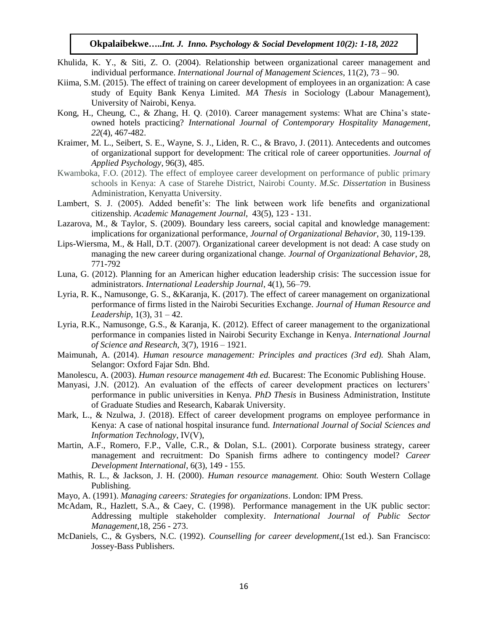- Khulida, K. Y., & Siti, Z. O. (2004). Relationship between organizational career management and individual performance. *International Journal of Management Sciences*, 11(2), 73 – 90.
- Kiima, S.M. (2015). The effect of training on career development of employees in an organization: A case study of Equity Bank Kenya Limited. *MA Thesis* in Sociology (Labour Management), University of Nairobi, Kenya.
- Kong, H., Cheung, C., & Zhang, H. Q. (2010). Career management systems: What are China's stateowned hotels practicing? *International Journal of Contemporary Hospitality Management*, *22*(4), 467-482.
- Kraimer, M. L., Seibert, S. E., Wayne, S. J., Liden, R. C., & Bravo, J. (2011). Antecedents and outcomes of organizational support for development: The critical role of career opportunities. *Journal of Applied Psychology*, 96(3), 485.
- Kwamboka, F.O. (2012). The effect of employee career development on performance of public primary schools in Kenya: A case of Starehe District, Nairobi County. *M.Sc. Dissertation* in Business Administration, Kenyatta University.
- Lambert, S. J. (2005). Added benefit's: The link between work life benefits and organizational citizenship. *Academic Management Journal*, 43(5), 123 - 131.
- Lazarova, M., & Taylor, S. (2009). Boundary less careers, social capital and knowledge management: implications for organizational performance, *Journal of Organizational Behavior*, 30, 119-139.
- Lips-Wiersma, M., & Hall, D.T. (2007). Organizational career development is not dead: A case study on managing the new career during organizational change. *Journal of Organizational Behavior*, 28, 771-792
- Luna, G. (2012). Planning for an American higher education leadership crisis: The succession issue for administrators. *International Leadership Journal*, 4(1), 56–79.
- Lyria, R. K., Namusonge, G. S., &Karanja, K. (2017). The effect of career management on organizational performance of firms listed in the Nairobi Securities Exchange. *Journal of Human Resource and Leadership*, 1(3), 31 – 42.
- Lyria, R.K., Namusonge, G.S., & Karanja, K. (2012). Effect of career management to the organizational performance in companies listed in Nairobi Security Exchange in Kenya. *International Journal of Science and Research*, 3(7), 1916 – 1921.
- Maimunah, A. (2014). *Human resource management: Principles and practices (3rd ed).* Shah Alam, Selangor: Oxford Fajar Sdn. Bhd.
- Manolescu, A. (2003). *Human resource management 4th ed.* Bucarest: The Economic Publishing House.
- Manyasi, J.N. (2012). An evaluation of the effects of career development practices on lecturers' performance in public universities in Kenya. *PhD Thesis* in Business Administration, Institute of Graduate Studies and Research, Kabarak University.
- Mark, L., & Nzulwa, J. (2018). Effect of career development programs on employee performance in Kenya: A case of national hospital insurance fund. *International Journal of Social Sciences and Information Technology*, IV(V),
- Martin, A.F., Romero, F.P., Valle, C.R., & Dolan, S.L. (2001). Corporate business strategy, career management and recruitment: Do Spanish firms adhere to contingency model? *Career Development International*, 6(3), 149 - 155.
- Mathis, R. L., & Jackson, J. H. (2000). *Human resource management.* Ohio: South Western Collage Publishing.
- Mayo, A. (1991). *Managing careers: Strategies for organizations*. London: IPM Press.
- McAdam, R., Hazlett, S.A., & Caey, C. (1998). [Performance management in the UK public sector:](http://www.emeraldinsight.com/doi/abs/10.1108/09513550510591542)  [Addressing multiple stakeholder complexity.](http://www.emeraldinsight.com/doi/abs/10.1108/09513550510591542) *International Journal of Public Sector [Management](http://www.emeraldinsight.com/doi/abs/10.1108/09513550510591542)*,18, 256 - 273.
- McDaniels, C., & Gysbers, N.C. (1992). *Counselling for career development*,(1st ed.). San Francisco: Jossey-Bass Publishers.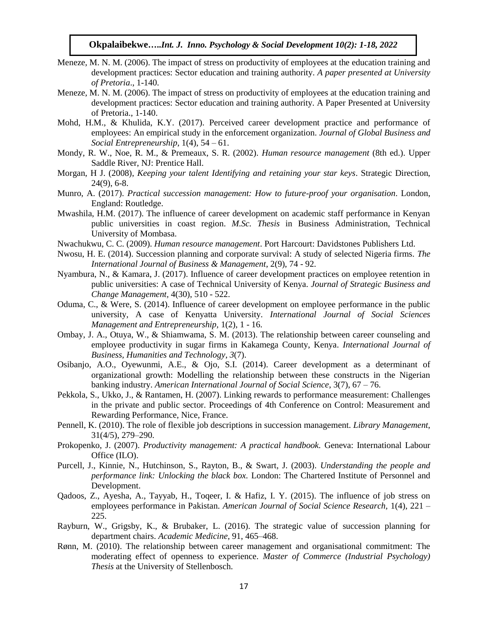- Meneze, M. N. M. (2006). The impact of stress on productivity of employees at the education training and development practices: Sector education and training authority. *A paper presented at University of Pretoria*., 1-140.
- Meneze, M. N. M. (2006). The impact of stress on productivity of employees at the education training and development practices: Sector education and training authority. A Paper Presented at University of Pretoria., 1-140.
- Mohd, H.M., & Khulida, K.Y. (2017). Perceived career development practice and performance of employees: An empirical study in the enforcement organization. *Journal of Global Business and Social Entrepreneurship*, 1(4), 54 – 61.
- Mondy, R. W., Noe, R. M., & Premeaux, S. R. (2002). *Human resource management* (8th ed.). Upper Saddle River, NJ: Prentice Hall.
- Morgan, H J. (2008), *Keeping your talent Identifying and retaining your star keys*. Strategic Direction, 24(9), 6-8.
- Munro, A. (2017). *Practical succession management: How to future-proof your organisation*. London, England: Routledge.
- Mwashila, H.M. (2017). The influence of career development on academic staff performance in Kenyan public universities in coast region. *M.Sc. Thesis* in Business Administration, Technical University of Mombasa.
- Nwachukwu, C. C. (2009). *Human resource management*. Port Harcourt: Davidstones Publishers Ltd.
- Nwosu, H. E. (2014). Succession planning and corporate survival: A study of selected Nigeria firms. *The International Journal of Business & Management*, 2(9), 74 - 92.
- Nyambura, N., & Kamara, J. (2017). Influence of career development practices on employee retention in public universities: A case of Technical University of Kenya. *Journal of Strategic Business and Change Management,* 4(30), 510 - 522.
- Oduma, C., & Were, S. (2014). Influence of career development on employee performance in the public university, A case of Kenyatta University. *International Journal of Social Sciences Management and Entrepreneurship,* 1(2), 1 - 16.
- Ombay, J. A., Otuya, W., & Shiamwama, S. M. (2013). The relationship between career counseling and employee productivity in sugar firms in Kakamega County, Kenya. *International Journal of Business, Humanities and Technology*, *3*(7).
- Osibanjo, A.O., Oyewunmi, A.E., & Ojo, S.I. (2014). Career development as a determinant of organizational growth: Modelling the relationship between these constructs in the Nigerian banking industry. *American International Journal of Social Science*, 3(7), 67 – 76.
- Pekkola, S., Ukko, J., & Rantamen, H. (2007). Linking rewards to performance measurement: Challenges in the private and public sector. Proceedings of 4th Conference on Control: Measurement and Rewarding Performance, Nice, France.
- Pennell, K. (2010). The role of flexible job descriptions in succession management. *Library Management*, 31(4/5), 279–290.
- Prokopenko, J. (2007). *[Productivity management: A practical handbook.](https://books.google.co.in/books?hl=en&lr=&id=0jyOKj8S_iYC&oi=fnd&pg=PR5&dq=Productivity+Management:+A+Practical+Handbook.+International+Labour+Office+&ots=_qnlu_y-eP&sig=GJZdFokfq2alZ8iNV6Fw7Lh5ZrI#v=onepage&q=Productivity%20Management%3A%20A%20Practical%20Handbook.%20International%20Labour%20Office&f=false)* Geneva: International Labour [Office \(ILO\).](https://books.google.co.in/books?hl=en&lr=&id=0jyOKj8S_iYC&oi=fnd&pg=PR5&dq=Productivity+Management:+A+Practical+Handbook.+International+Labour+Office+&ots=_qnlu_y-eP&sig=GJZdFokfq2alZ8iNV6Fw7Lh5ZrI#v=onepage&q=Productivity%20Management%3A%20A%20Practical%20Handbook.%20International%20Labour%20Office&f=false)
- Purcell, J., Kinnie, N., Hutchinson, S., Rayton, B., & Swart, J. (2003). *Understanding the people and performance link: Unlocking the black box.* London: The Chartered Institute of Personnel and Development.
- Qadoos, Z., Ayesha, A., Tayyab, H., Toqeer, I. & Hafiz, I. Y. (2015). The influence of job stress on employees performance in Pakistan. *American Journal of Social Science Research,* 1(4), 221 – 225.
- Rayburn, W., Grigsby, K., & Brubaker, L. (2016). The strategic value of succession planning for department chairs. *Academic Medicine*, 91, 465–468.
- Rønn, M. (2010). The relationship between career management and organisational commitment: The moderating effect of openness to experience. *Master of Commerce (Industrial Psychology) Thesis* at the University of Stellenbosch.